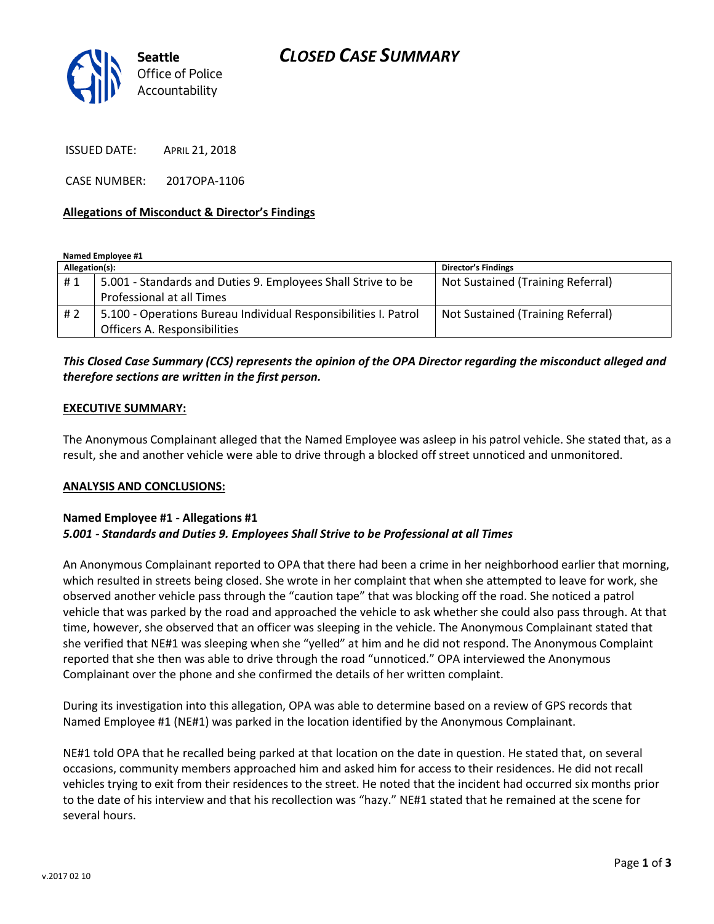

ISSUED DATE: APRIL 21, 2018

CASE NUMBER: 2017OPA-1106

# **Allegations of Misconduct & Director's Findings**

**Named Employee #1**

| Allegation(s): |                                                                 | <b>Director's Findings</b>        |
|----------------|-----------------------------------------------------------------|-----------------------------------|
| #1             | 5.001 - Standards and Duties 9. Employees Shall Strive to be    | Not Sustained (Training Referral) |
|                | Professional at all Times                                       |                                   |
| # 2            | 5.100 - Operations Bureau Individual Responsibilities I. Patrol | Not Sustained (Training Referral) |
|                | Officers A. Responsibilities                                    |                                   |

# *This Closed Case Summary (CCS) represents the opinion of the OPA Director regarding the misconduct alleged and therefore sections are written in the first person.*

# **EXECUTIVE SUMMARY:**

The Anonymous Complainant alleged that the Named Employee was asleep in his patrol vehicle. She stated that, as a result, she and another vehicle were able to drive through a blocked off street unnoticed and unmonitored.

#### **ANALYSIS AND CONCLUSIONS:**

# **Named Employee #1 - Allegations #1** *5.001 - Standards and Duties 9. Employees Shall Strive to be Professional at all Times*

An Anonymous Complainant reported to OPA that there had been a crime in her neighborhood earlier that morning, which resulted in streets being closed. She wrote in her complaint that when she attempted to leave for work, she observed another vehicle pass through the "caution tape" that was blocking off the road. She noticed a patrol vehicle that was parked by the road and approached the vehicle to ask whether she could also pass through. At that time, however, she observed that an officer was sleeping in the vehicle. The Anonymous Complainant stated that she verified that NE#1 was sleeping when she "yelled" at him and he did not respond. The Anonymous Complaint reported that she then was able to drive through the road "unnoticed." OPA interviewed the Anonymous Complainant over the phone and she confirmed the details of her written complaint.

During its investigation into this allegation, OPA was able to determine based on a review of GPS records that Named Employee #1 (NE#1) was parked in the location identified by the Anonymous Complainant.

NE#1 told OPA that he recalled being parked at that location on the date in question. He stated that, on several occasions, community members approached him and asked him for access to their residences. He did not recall vehicles trying to exit from their residences to the street. He noted that the incident had occurred six months prior to the date of his interview and that his recollection was "hazy." NE#1 stated that he remained at the scene for several hours.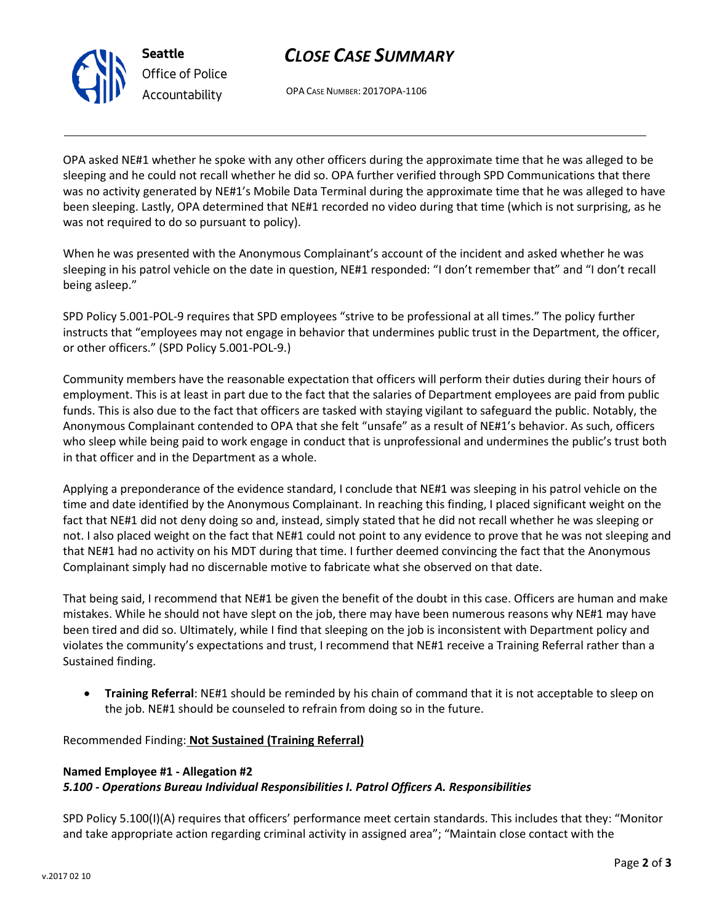

**Seattle** *Office of Police Accountability*

OPA CASE NUMBER: 2017OPA-1106

OPA asked NE#1 whether he spoke with any other officers during the approximate time that he was alleged to be sleeping and he could not recall whether he did so. OPA further verified through SPD Communications that there was no activity generated by NE#1's Mobile Data Terminal during the approximate time that he was alleged to have been sleeping. Lastly, OPA determined that NE#1 recorded no video during that time (which is not surprising, as he was not required to do so pursuant to policy).

When he was presented with the Anonymous Complainant's account of the incident and asked whether he was sleeping in his patrol vehicle on the date in question, NE#1 responded: "I don't remember that" and "I don't recall being asleep."

SPD Policy 5.001-POL-9 requires that SPD employees "strive to be professional at all times." The policy further instructs that "employees may not engage in behavior that undermines public trust in the Department, the officer, or other officers." (SPD Policy 5.001-POL-9.)

Community members have the reasonable expectation that officers will perform their duties during their hours of employment. This is at least in part due to the fact that the salaries of Department employees are paid from public funds. This is also due to the fact that officers are tasked with staying vigilant to safeguard the public. Notably, the Anonymous Complainant contended to OPA that she felt "unsafe" as a result of NE#1's behavior. As such, officers who sleep while being paid to work engage in conduct that is unprofessional and undermines the public's trust both in that officer and in the Department as a whole.

Applying a preponderance of the evidence standard, I conclude that NE#1 was sleeping in his patrol vehicle on the time and date identified by the Anonymous Complainant. In reaching this finding, I placed significant weight on the fact that NE#1 did not deny doing so and, instead, simply stated that he did not recall whether he was sleeping or not. I also placed weight on the fact that NE#1 could not point to any evidence to prove that he was not sleeping and that NE#1 had no activity on his MDT during that time. I further deemed convincing the fact that the Anonymous Complainant simply had no discernable motive to fabricate what she observed on that date.

That being said, I recommend that NE#1 be given the benefit of the doubt in this case. Officers are human and make mistakes. While he should not have slept on the job, there may have been numerous reasons why NE#1 may have been tired and did so. Ultimately, while I find that sleeping on the job is inconsistent with Department policy and violates the community's expectations and trust, I recommend that NE#1 receive a Training Referral rather than a Sustained finding.

• **Training Referral**: NE#1 should be reminded by his chain of command that it is not acceptable to sleep on the job. NE#1 should be counseled to refrain from doing so in the future.

Recommended Finding: **Not Sustained (Training Referral)**

# **Named Employee #1 - Allegation #2** *5.100 - Operations Bureau Individual Responsibilities I. Patrol Officers A. Responsibilities*

SPD Policy 5.100(I)(A) requires that officers' performance meet certain standards. This includes that they: "Monitor and take appropriate action regarding criminal activity in assigned area"; "Maintain close contact with the